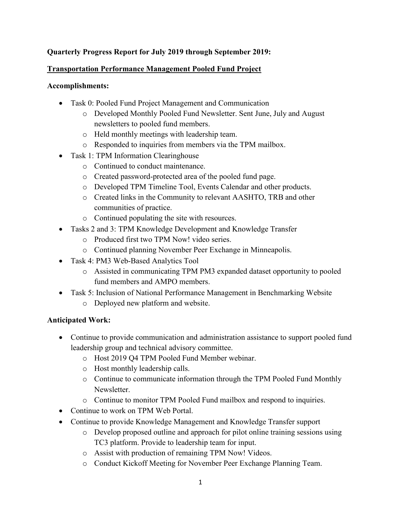# **Quarterly Progress Report for July 2019 through September 2019:**

#### **Transportation Performance Management Pooled Fund Project**

### **Accomplishments:**

- Task 0: Pooled Fund Project Management and Communication
	- o Developed Monthly Pooled Fund Newsletter. Sent June, July and August newsletters to pooled fund members.
	- o Held monthly meetings with leadership team.
	- o Responded to inquiries from members via the TPM mailbox.
- Task 1: TPM Information Clearinghouse
	- o Continued to conduct maintenance.
	- o Created password-protected area of the pooled fund page.
	- o Developed TPM Timeline Tool, Events Calendar and other products.
	- o Created links in the Community to relevant AASHTO, TRB and other communities of practice.
	- o Continued populating the site with resources.
- Tasks 2 and 3: TPM Knowledge Development and Knowledge Transfer
	- o Produced first two TPM Now! video series.
	- o Continued planning November Peer Exchange in Minneapolis.
- Task 4: PM3 Web-Based Analytics Tool
	- o Assisted in communicating TPM PM3 expanded dataset opportunity to pooled fund members and AMPO members.
- Task 5: Inclusion of National Performance Management in Benchmarking Website
	- o Deployed new platform and website.

# **Anticipated Work:**

- Continue to provide communication and administration assistance to support pooled fund leadership group and technical advisory committee.
	- o Host 2019 Q4 TPM Pooled Fund Member webinar.
	- o Host monthly leadership calls.
	- o Continue to communicate information through the TPM Pooled Fund Monthly Newsletter.
	- o Continue to monitor TPM Pooled Fund mailbox and respond to inquiries.
- Continue to work on TPM Web Portal.
- Continue to provide Knowledge Management and Knowledge Transfer support
	- o Develop proposed outline and approach for pilot online training sessions using TC3 platform. Provide to leadership team for input.
	- o Assist with production of remaining TPM Now! Videos.
	- o Conduct Kickoff Meeting for November Peer Exchange Planning Team.